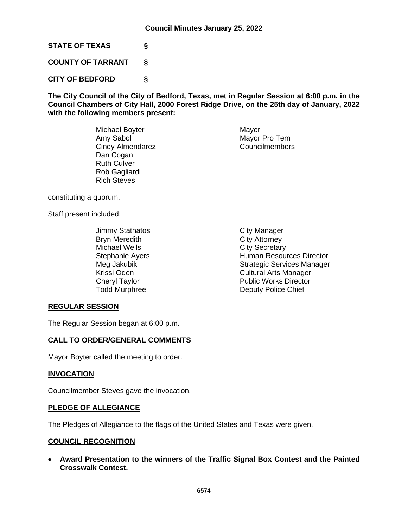**STATE OF TEXAS §**

**COUNTY OF TARRANT §**

**CITY OF BEDFORD §**

**The City Council of the City of Bedford, Texas, met in Regular Session at 6:00 p.m. in the Council Chambers of City Hall, 2000 Forest Ridge Drive, on the 25th day of January, 2022 with the following members present:**

> Michael Boyter **Mayor** Mayor Amy Sabol Mayor Pro Tem<br>
> Cindy Almendarez Councilmembers Cindy Almendarez Dan Cogan Ruth Culver Rob Gagliardi Rich Steves

constituting a quorum.

Staff present included:

Jimmy Stathatos **City Manager** Bryn Meredith **City Attorney** Michael Wells **City Secretary** 

Stephanie Ayers **Human Resources Director** Meg Jakubik **Strategic Services Manager** Strategic Services Manager Krissi Oden **Cultural Arts Manager** Cheryl Taylor **Public Works Director**<br>
Todd Murphree **Public Public Works Director**<br>
Deputy Police Chief Deputy Police Chief

# **REGULAR SESSION**

The Regular Session began at 6:00 p.m.

### **CALL TO ORDER/GENERAL COMMENTS**

Mayor Boyter called the meeting to order.

#### **INVOCATION**

Councilmember Steves gave the invocation.

#### **PLEDGE OF ALLEGIANCE**

The Pledges of Allegiance to the flags of the United States and Texas were given.

### **COUNCIL RECOGNITION**

• **Award Presentation to the winners of the Traffic Signal Box Contest and the Painted Crosswalk Contest.**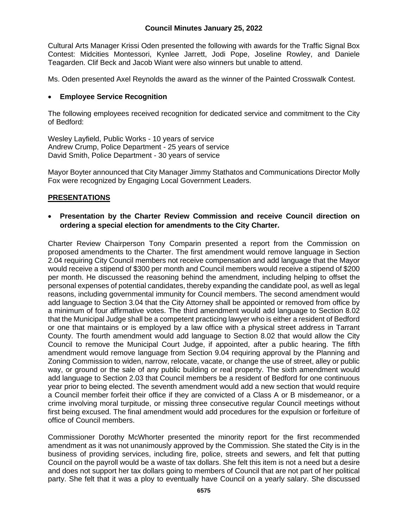### **Council Minutes January 25, 2022**

Cultural Arts Manager Krissi Oden presented the following with awards for the Traffic Signal Box Contest: Midcities Montessori, Kynlee Jarrett, Jodi Pope, Joseline Rowley, and Daniele Teagarden. Clif Beck and Jacob Wiant were also winners but unable to attend.

Ms. Oden presented Axel Reynolds the award as the winner of the Painted Crosswalk Contest.

#### • **Employee Service Recognition**

The following employees received recognition for dedicated service and commitment to the City of Bedford:

Wesley Layfield, Public Works - 10 years of service Andrew Crump, Police Department - 25 years of service David Smith, Police Department - 30 years of service

Mayor Boyter announced that City Manager Jimmy Stathatos and Communications Director Molly Fox were recognized by Engaging Local Government Leaders.

### **PRESENTATIONS**

### • **Presentation by the Charter Review Commission and receive Council direction on ordering a special election for amendments to the City Charter.**

Charter Review Chairperson Tony Comparin presented a report from the Commission on proposed amendments to the Charter. The first amendment would remove language in Section 2.04 requiring City Council members not receive compensation and add language that the Mayor would receive a stipend of \$300 per month and Council members would receive a stipend of \$200 per month. He discussed the reasoning behind the amendment, including helping to offset the personal expenses of potential candidates, thereby expanding the candidate pool, as well as legal reasons, including governmental immunity for Council members. The second amendment would add language to Section 3.04 that the City Attorney shall be appointed or removed from office by a minimum of four affirmative votes. The third amendment would add language to Section 8.02 that the Municipal Judge shall be a competent practicing lawyer who is either a resident of Bedford or one that maintains or is employed by a law office with a physical street address in Tarrant County. The fourth amendment would add language to Section 8.02 that would allow the City Council to remove the Municipal Court Judge, if appointed, after a public hearing. The fifth amendment would remove language from Section 9.04 requiring approval by the Planning and Zoning Commission to widen, narrow, relocate, vacate, or change the use of street, alley or public way, or ground or the sale of any public building or real property. The sixth amendment would add language to Section 2.03 that Council members be a resident of Bedford for one continuous year prior to being elected. The seventh amendment would add a new section that would require a Council member forfeit their office if they are convicted of a Class A or B misdemeanor, or a crime involving moral turpitude, or missing three consecutive regular Council meetings without first being excused. The final amendment would add procedures for the expulsion or forfeiture of office of Council members.

Commissioner Dorothy McWhorter presented the minority report for the first recommended amendment as it was not unanimously approved by the Commission. She stated the City is in the business of providing services, including fire, police, streets and sewers, and felt that putting Council on the payroll would be a waste of tax dollars. She felt this item is not a need but a desire and does not support her tax dollars going to members of Council that are not part of her political party. She felt that it was a ploy to eventually have Council on a yearly salary. She discussed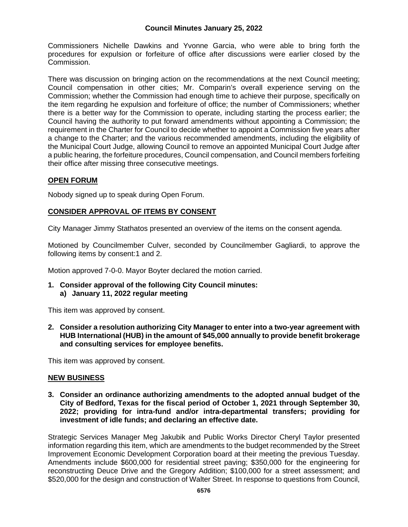## **Council Minutes January 25, 2022**

Commissioners Nichelle Dawkins and Yvonne Garcia, who were able to bring forth the procedures for expulsion or forfeiture of office after discussions were earlier closed by the Commission.

There was discussion on bringing action on the recommendations at the next Council meeting; Council compensation in other cities; Mr. Comparin's overall experience serving on the Commission; whether the Commission had enough time to achieve their purpose, specifically on the item regarding he expulsion and forfeiture of office; the number of Commissioners; whether there is a better way for the Commission to operate, including starting the process earlier; the Council having the authority to put forward amendments without appointing a Commission; the requirement in the Charter for Council to decide whether to appoint a Commission five years after a change to the Charter; and the various recommended amendments, including the eligibility of the Municipal Court Judge, allowing Council to remove an appointed Municipal Court Judge after a public hearing, the forfeiture procedures, Council compensation, and Council members forfeiting their office after missing three consecutive meetings.

### **OPEN FORUM**

Nobody signed up to speak during Open Forum.

### **CONSIDER APPROVAL OF ITEMS BY CONSENT**

City Manager Jimmy Stathatos presented an overview of the items on the consent agenda.

Motioned by Councilmember Culver, seconded by Councilmember Gagliardi, to approve the following items by consent:1 and 2.

Motion approved 7-0-0. Mayor Boyter declared the motion carried.

**1. Consider approval of the following City Council minutes: a) January 11, 2022 regular meeting**

This item was approved by consent.

**2. Consider a resolution authorizing City Manager to enter into a two-year agreement with HUB International (HUB) in the amount of \$45,000 annually to provide benefit brokerage and consulting services for employee benefits.**

This item was approved by consent.

#### **NEW BUSINESS**

**3. Consider an ordinance authorizing amendments to the adopted annual budget of the City of Bedford, Texas for the fiscal period of October 1, 2021 through September 30, 2022; providing for intra-fund and/or intra-departmental transfers; providing for investment of idle funds; and declaring an effective date.**

Strategic Services Manager Meg Jakubik and Public Works Director Cheryl Taylor presented information regarding this item, which are amendments to the budget recommended by the Street Improvement Economic Development Corporation board at their meeting the previous Tuesday. Amendments include \$600,000 for residential street paving; \$350,000 for the engineering for reconstructing Deuce Drive and the Gregory Addition; \$100,000 for a street assessment; and \$520,000 for the design and construction of Walter Street. In response to questions from Council,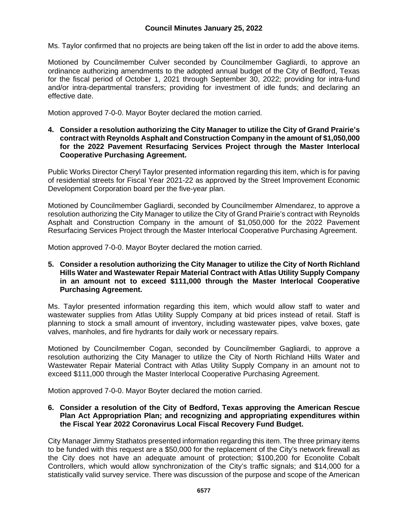Ms. Taylor confirmed that no projects are being taken off the list in order to add the above items.

Motioned by Councilmember Culver seconded by Councilmember Gagliardi, to approve an ordinance authorizing amendments to the adopted annual budget of the City of Bedford, Texas for the fiscal period of October 1, 2021 through September 30, 2022; providing for intra-fund and/or intra-departmental transfers; providing for investment of idle funds; and declaring an effective date.

Motion approved 7-0-0. Mayor Boyter declared the motion carried.

**4. Consider a resolution authorizing the City Manager to utilize the City of Grand Prairie's contract with Reynolds Asphalt and Construction Company in the amount of \$1,050,000 for the 2022 Pavement Resurfacing Services Project through the Master Interlocal Cooperative Purchasing Agreement.**

Public Works Director Cheryl Taylor presented information regarding this item, which is for paving of residential streets for Fiscal Year 2021-22 as approved by the Street Improvement Economic Development Corporation board per the five-year plan.

Motioned by Councilmember Gagliardi, seconded by Councilmember Almendarez, to approve a resolution authorizing the City Manager to utilize the City of Grand Prairie's contract with Reynolds Asphalt and Construction Company in the amount of \$1,050,000 for the 2022 Pavement Resurfacing Services Project through the Master Interlocal Cooperative Purchasing Agreement.

Motion approved 7-0-0. Mayor Boyter declared the motion carried.

**5. Consider a resolution authorizing the City Manager to utilize the City of North Richland Hills Water and Wastewater Repair Material Contract with Atlas Utility Supply Company in an amount not to exceed \$111,000 through the Master Interlocal Cooperative Purchasing Agreement.**

Ms. Taylor presented information regarding this item, which would allow staff to water and wastewater supplies from Atlas Utility Supply Company at bid prices instead of retail. Staff is planning to stock a small amount of inventory, including wastewater pipes, valve boxes, gate valves, manholes, and fire hydrants for daily work or necessary repairs.

Motioned by Councilmember Cogan, seconded by Councilmember Gagliardi, to approve a resolution authorizing the City Manager to utilize the City of North Richland Hills Water and Wastewater Repair Material Contract with Atlas Utility Supply Company in an amount not to exceed \$111,000 through the Master Interlocal Cooperative Purchasing Agreement.

Motion approved 7-0-0. Mayor Boyter declared the motion carried.

#### **6. Consider a resolution of the City of Bedford, Texas approving the American Rescue Plan Act Appropriation Plan; and recognizing and appropriating expenditures within the Fiscal Year 2022 Coronavirus Local Fiscal Recovery Fund Budget.**

City Manager Jimmy Stathatos presented information regarding this item. The three primary items to be funded with this request are a \$50,000 for the replacement of the City's network firewall as the City does not have an adequate amount of protection; \$100,200 for Econolite Cobalt Controllers, which would allow synchronization of the City's traffic signals; and \$14,000 for a statistically valid survey service. There was discussion of the purpose and scope of the American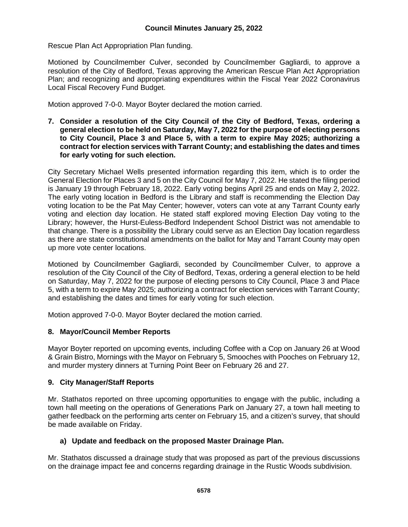Rescue Plan Act Appropriation Plan funding.

Motioned by Councilmember Culver, seconded by Councilmember Gagliardi, to approve a resolution of the City of Bedford, Texas approving the American Rescue Plan Act Appropriation Plan; and recognizing and appropriating expenditures within the Fiscal Year 2022 Coronavirus Local Fiscal Recovery Fund Budget.

Motion approved 7-0-0. Mayor Boyter declared the motion carried.

**7. Consider a resolution of the City Council of the City of Bedford, Texas, ordering a general election to be held on Saturday, May 7, 2022 for the purpose of electing persons to City Council, Place 3 and Place 5, with a term to expire May 2025; authorizing a contract for election services with Tarrant County; and establishing the dates and times for early voting for such election.**

City Secretary Michael Wells presented information regarding this item, which is to order the General Election for Places 3 and 5 on the City Council for May 7, 2022. He stated the filing period is January 19 through February 18, 2022. Early voting begins April 25 and ends on May 2, 2022. The early voting location in Bedford is the Library and staff is recommending the Election Day voting location to be the Pat May Center; however, voters can vote at any Tarrant County early voting and election day location. He stated staff explored moving Election Day voting to the Library; however, the Hurst-Euless-Bedford Independent School District was not amendable to that change. There is a possibility the Library could serve as an Election Day location regardless as there are state constitutional amendments on the ballot for May and Tarrant County may open up more vote center locations.

Motioned by Councilmember Gagliardi, seconded by Councilmember Culver, to approve a resolution of the City Council of the City of Bedford, Texas, ordering a general election to be held on Saturday, May 7, 2022 for the purpose of electing persons to City Council, Place 3 and Place 5, with a term to expire May 2025; authorizing a contract for election services with Tarrant County; and establishing the dates and times for early voting for such election.

Motion approved 7-0-0. Mayor Boyter declared the motion carried.

# **8. Mayor/Council Member Reports**

Mayor Boyter reported on upcoming events, including Coffee with a Cop on January 26 at Wood & Grain Bistro, Mornings with the Mayor on February 5, Smooches with Pooches on February 12, and murder mystery dinners at Turning Point Beer on February 26 and 27.

# **9. City Manager/Staff Reports**

Mr. Stathatos reported on three upcoming opportunities to engage with the public, including a town hall meeting on the operations of Generations Park on January 27, a town hall meeting to gather feedback on the performing arts center on February 15, and a citizen's survey, that should be made available on Friday.

# **a) Update and feedback on the proposed Master Drainage Plan.**

Mr. Stathatos discussed a drainage study that was proposed as part of the previous discussions on the drainage impact fee and concerns regarding drainage in the Rustic Woods subdivision.